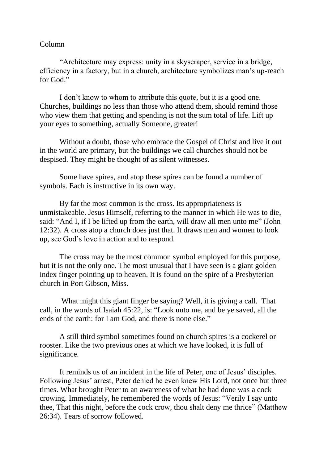## Column

"Architecture may express: unity in a skyscraper, service in a bridge, efficiency in a factory, but in a church, architecture symbolizes man's up-reach for God<sup>"</sup>

I don't know to whom to attribute this quote, but it is a good one. Churches, buildings no less than those who attend them, should remind those who view them that getting and spending is not the sum total of life. Lift up your eyes to something, actually Someone, greater!

Without a doubt, those who embrace the Gospel of Christ and live it out in the world are primary, but the buildings we call churches should not be despised. They might be thought of as silent witnesses.

Some have spires, and atop these spires can be found a number of symbols. Each is instructive in its own way.

By far the most common is the cross. Its appropriateness is unmistakeable. Jesus Himself, referring to the manner in which He was to die, said: "And I, if I be lifted up from the earth, will draw all men unto me" (John 12:32). A cross atop a church does just that. It draws men and women to look up, see God's love in action and to respond.

The cross may be the most common symbol employed for this purpose, but it is not the only one. The most unusual that I have seen is a giant golden index finger pointing up to heaven. It is found on the spire of a Presbyterian church in Port Gibson, Miss.

What might this giant finger be saying? Well, it is giving a call. That call, in the words of Isaiah 45:22, is: "Look unto me, and be ye saved, all the ends of the earth: for I am God, and there is none else."

A still third symbol sometimes found on church spires is a cockerel or rooster. Like the two previous ones at which we have looked, it is full of significance.

It reminds us of an incident in the life of Peter, one of Jesus' disciples. Following Jesus' arrest, Peter denied he even knew His Lord, not once but three times. What brought Peter to an awareness of what he had done was a cock crowing. Immediately, he remembered the words of Jesus: "Verily I say unto thee, That this night, before the cock crow, thou shalt deny me thrice" (Matthew 26:34). Tears of sorrow followed.